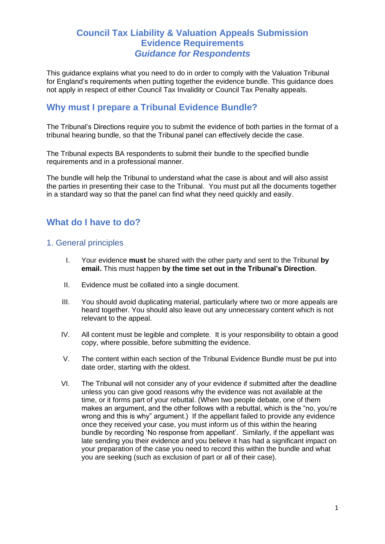## **Council Tax Liability & Valuation Appeals Submission Evidence Requirements** *Guidance for Respondents*

This guidance explains what you need to do in order to comply with the Valuation Tribunal for England's requirements when putting together the evidence bundle. This guidance does not apply in respect of either Council Tax Invalidity or Council Tax Penalty appeals.

## **Why must I prepare a Tribunal Evidence Bundle?**

The Tribunal's Directions require you to submit the evidence of both parties in the format of a tribunal hearing bundle, so that the Tribunal panel can effectively decide the case.

The Tribunal expects BA respondents to submit their bundle to the specified bundle requirements and in a professional manner.

The bundle will help the Tribunal to understand what the case is about and will also assist the parties in presenting their case to the Tribunal. You must put all the documents together in a standard way so that the panel can find what they need quickly and easily.

## **What do I have to do?**

#### 1. General principles

- I. Your evidence **must** be shared with the other party and sent to the Tribunal **by email.** This must happen **by the time set out in the Tribunal's Direction**.
- II. Evidence must be collated into a single document.
- III. You should avoid duplicating material, particularly where two or more appeals are heard together. You should also leave out any unnecessary content which is not relevant to the appeal.
- IV. All content must be legible and complete. It is your responsibility to obtain a good copy, where possible, before submitting the evidence.
- V. The content within each section of the Tribunal Evidence Bundle must be put into date order, starting with the oldest.
- VI. The Tribunal will not consider any of your evidence if submitted after the deadline unless you can give good reasons why the evidence was not available at the time, or it forms part of your rebuttal. (When two people debate, one of them makes an argument, and the other follows with a rebuttal, which is the "no, you're wrong and this is why" argument.) If the appellant failed to provide any evidence once they received your case, you must inform us of this within the hearing bundle by recording 'No response from appellant'. Similarly, if the appellant was late sending you their evidence and you believe it has had a significant impact on your preparation of the case you need to record this within the bundle and what you are seeking (such as exclusion of part or all of their case).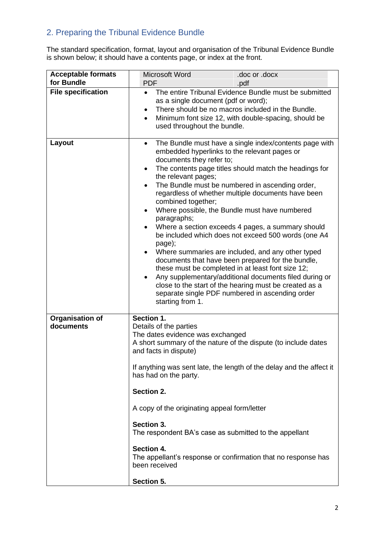# 2. Preparing the Tribunal Evidence Bundle

The standard specification, format, layout and organisation of the Tribunal Evidence Bundle is shown below; it should have a contents page, or index at the front.

| <b>Acceptable formats</b>           | Microsoft Word                                                                                                                                                                                                                                                                                                                                                                                                                                                                                                           | .doc or .docx                                                                                                                                                                                                                                                                                                                                                                                                                                                                                                                                                                                                          |
|-------------------------------------|--------------------------------------------------------------------------------------------------------------------------------------------------------------------------------------------------------------------------------------------------------------------------------------------------------------------------------------------------------------------------------------------------------------------------------------------------------------------------------------------------------------------------|------------------------------------------------------------------------------------------------------------------------------------------------------------------------------------------------------------------------------------------------------------------------------------------------------------------------------------------------------------------------------------------------------------------------------------------------------------------------------------------------------------------------------------------------------------------------------------------------------------------------|
| for Bundle                          | <b>PDF</b>                                                                                                                                                                                                                                                                                                                                                                                                                                                                                                               | .pdf                                                                                                                                                                                                                                                                                                                                                                                                                                                                                                                                                                                                                   |
| <b>File specification</b>           | The entire Tribunal Evidence Bundle must be submitted<br>$\bullet$<br>as a single document (pdf or word);<br>There should be no macros included in the Bundle.<br>$\bullet$<br>Minimum font size 12, with double-spacing, should be<br>$\bullet$<br>used throughout the bundle.                                                                                                                                                                                                                                          |                                                                                                                                                                                                                                                                                                                                                                                                                                                                                                                                                                                                                        |
| Layout                              | $\bullet$<br>embedded hyperlinks to the relevant pages or<br>documents they refer to;<br>$\bullet$<br>the relevant pages;<br>$\bullet$<br>combined together;<br>Where possible, the Bundle must have numbered<br>$\bullet$<br>paragraphs;<br>page);<br>$\bullet$<br>these must be completed in at least font size 12;<br>$\bullet$<br>starting from 1.                                                                                                                                                                   | The Bundle must have a single index/contents page with<br>The contents page titles should match the headings for<br>The Bundle must be numbered in ascending order,<br>regardless of whether multiple documents have been<br>Where a section exceeds 4 pages, a summary should<br>be included which does not exceed 500 words (one A4<br>Where summaries are included, and any other typed<br>documents that have been prepared for the bundle,<br>Any supplementary/additional documents filed during or<br>close to the start of the hearing must be created as a<br>separate single PDF numbered in ascending order |
| <b>Organisation of</b><br>documents | Section 1.<br>Details of the parties<br>The dates evidence was exchanged<br>A short summary of the nature of the dispute (to include dates<br>and facts in dispute)<br>If anything was sent late, the length of the delay and the affect it<br>has had on the party.<br>Section 2.<br>A copy of the originating appeal form/letter<br>Section 3.<br>The respondent BA's case as submitted to the appellant<br>Section 4.<br>The appellant's response or confirmation that no response has<br>been received<br>Section 5. |                                                                                                                                                                                                                                                                                                                                                                                                                                                                                                                                                                                                                        |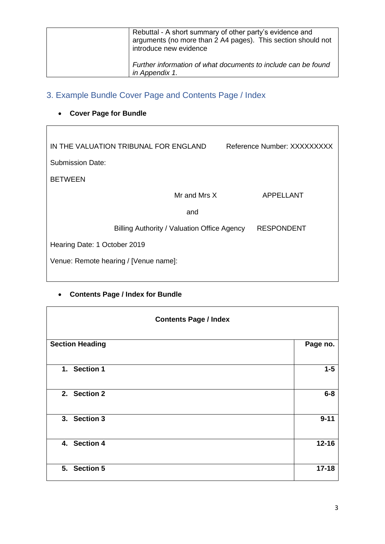| Rebuttal - A short summary of other party's evidence and<br>arguments (no more than 2 A4 pages). This section should not<br>introduce new evidence |
|----------------------------------------------------------------------------------------------------------------------------------------------------|
| Further information of what documents to include can be found<br>in Appendix 1.                                                                    |

# 3. Example Bundle Cover Page and Contents Page / Index

# • **Cover Page for Bundle**

| IN THE VALUATION TRIBUNAL FOR ENGLAND |                                             | Reference Number: XXXXXXXXX |
|---------------------------------------|---------------------------------------------|-----------------------------|
| Submission Date:                      |                                             |                             |
| <b>BETWEEN</b>                        |                                             |                             |
|                                       | Mr and Mrs X                                | APPELLANT                   |
|                                       | and                                         |                             |
|                                       | Billing Authority / Valuation Office Agency | <b>RESPONDENT</b>           |
| Hearing Date: 1 October 2019          |                                             |                             |
| Venue: Remote hearing / [Venue name]: |                                             |                             |
|                                       |                                             |                             |

## • **Contents Page / Index for Bundle**

| <b>Contents Page / Index</b> |           |
|------------------------------|-----------|
| <b>Section Heading</b>       | Page no.  |
| 1. Section 1                 | $1-5$     |
| 2. Section 2                 | $6-8$     |
| 3. Section 3                 | $9 - 11$  |
| 4. Section 4                 | $12 - 16$ |
| 5. Section 5                 | $17 - 18$ |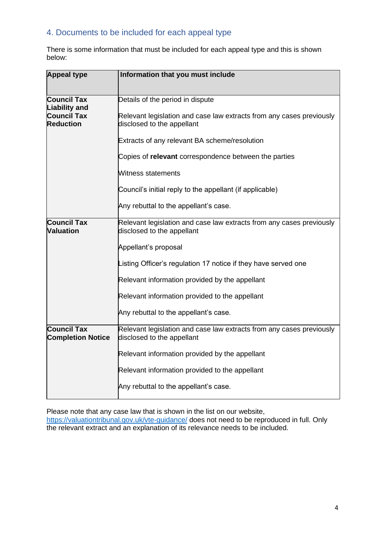#### 4. Documents to be included for each appeal type

There is some information that must be included for each appeal type and this is shown below:

| <b>Appeal type</b>                             | Information that you must include                                                                  |
|------------------------------------------------|----------------------------------------------------------------------------------------------------|
|                                                |                                                                                                    |
| <b>Council Tax</b><br><b>Liability and</b>     | Details of the period in dispute                                                                   |
| <b>Council Tax</b><br><b>Reduction</b>         | Relevant legislation and case law extracts from any cases previously<br>disclosed to the appellant |
|                                                | Extracts of any relevant BA scheme/resolution                                                      |
|                                                | Copies of relevant correspondence between the parties                                              |
|                                                | Witness statements                                                                                 |
|                                                | Council's initial reply to the appellant (if applicable)                                           |
|                                                | Any rebuttal to the appellant's case.                                                              |
| <b>Council Tax</b><br>Valuation                | Relevant legislation and case law extracts from any cases previously<br>disclosed to the appellant |
|                                                | Appellant's proposal                                                                               |
|                                                | Listing Officer's regulation 17 notice if they have served one                                     |
|                                                | Relevant information provided by the appellant                                                     |
|                                                | Relevant information provided to the appellant                                                     |
|                                                | Any rebuttal to the appellant's case.                                                              |
| <b>Council Tax</b><br><b>Completion Notice</b> | Relevant legislation and case law extracts from any cases previously<br>disclosed to the appellant |
|                                                | Relevant information provided by the appellant                                                     |
|                                                | Relevant information provided to the appellant                                                     |
|                                                | Any rebuttal to the appellant's case.                                                              |

Please note that any case law that is shown in the list on our website, <https://valuationtribunal.gov.uk/vte-guidance/> does not need to be reproduced in full. Only the relevant extract and an explanation of its relevance needs to be included.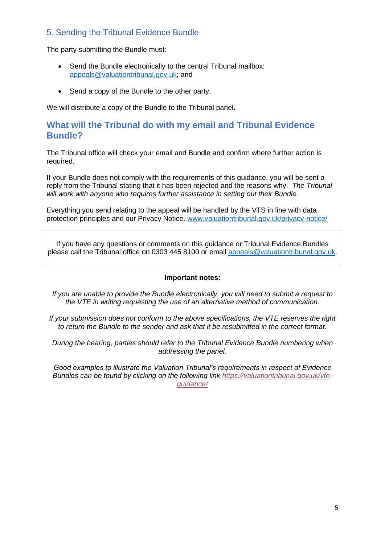#### 5. Sending the Tribunal Evidence Bundle

The party submitting the Bundle must:

- Send the Bundle electronically to the central Tribunal mailbox: [appeals@valuationtribunal.gov.uk;](mailto:appeals@valuationtribunal.gov.uk) and
- Send a copy of the Bundle to the other party.

We will distribute a copy of the Bundle to the Tribunal panel.

#### **What will the Tribunal do with my email and Tribunal Evidence Bundle?**

The Tribunal office will check your email and Bundle and confirm where further action is required.

If your Bundle does not comply with the requirements of this guidance, you will be sent a reply from the Tribunal stating that it has been rejected and the reasons why. *The Tribunal will work with anyone who requires further assistance in setting out their Bundle.*

Everything you send relating to the appeal will be handled by the VTS in line with data protection principles and our Privacy Notice. [www.valuationtribunal.gov.uk/privacy-notice/](http://www.valuationtribunal.gov.uk/privacy-notice/)

If you have any questions or comments on this guidance or Tribunal Evidence Bundles please call the Tribunal office on 0303 445 8100 or email [appeals@valuationtribunal.gov.uk.](mailto:appeals@valuationtribunal.gov.uk)

#### **Important notes:**

*If you are unable to provide the Bundle electronically, you will need to submit a request to the VTE in writing requesting the use of an alternative method of communication.*

*If your submission does not conform to the above specifications, the VTE reserves the right to return the Bundle to the sender and ask that it be resubmitted in the correct format.* 

*During the hearing, parties should refer to the Tribunal Evidence Bundle numbering when addressing the panel.*

*Good examples to illustrate the Valuation Tribunal's requirements in respect of Evidence Bundles can be found by clicking on the following link [https://valuationtribunal.gov.uk/vte](https://valuationtribunal.gov.uk/vte-guidance/)[guidance/](https://valuationtribunal.gov.uk/vte-guidance/)*